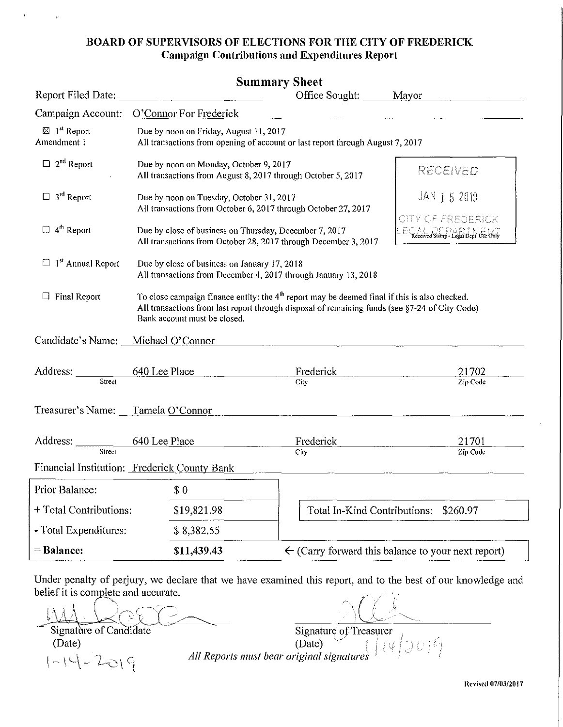#### **BOARD OF SUPERVISORS OF ELECTIONS FOR THE CITY OF FREDERICK Campaign Contributions and Expenditures Report**

|                                                   | <b>Summary Sheet</b>                                                                                                                                                                                                              |                              |                                                                                            |
|---------------------------------------------------|-----------------------------------------------------------------------------------------------------------------------------------------------------------------------------------------------------------------------------------|------------------------------|--------------------------------------------------------------------------------------------|
| Report Filed Date:                                | <u> 1980 - Jan Samuel Barbara, martin da shekara 1980 - An tsa a shekara 1980 - An tsa a shekara 1980 - An tsa a</u>                                                                                                              | Office Sought: Mayor         |                                                                                            |
|                                                   | Campaign Account: O'Connor For Frederick                                                                                                                                                                                          |                              |                                                                                            |
| $\boxtimes$ 1 <sup>st</sup> Report<br>Amendment 1 | Due by noon on Friday, August 11, 2017<br>All transactions from opening of account or last report through August 7, 2017                                                                                                          |                              |                                                                                            |
| $\Box$ 2 <sup>nd</sup> Report                     | Due by noon on Monday, October 9, 2017<br>All transactions from August 8, 2017 through October 5, 2017                                                                                                                            |                              | RECEIVED                                                                                   |
| $\Box$ 3 <sup>rd</sup> Report                     | Due by noon on Tuesday, October 31, 2017<br>All transactions from October 6, 2017 through October 27, 2017                                                                                                                        |                              | JAN 1 5 2019                                                                               |
| $\Box$ 4 <sup>th</sup> Report                     | Due by close of business on Thursday, December 7, 2017<br>All transactions from October 28, 2017 through December 3, 2017                                                                                                         |                              | CITY OF FREDERICK<br>$E \subseteq A$ of $E \subseteq B$ $A \subseteq B$ of $A \subseteq B$ |
| $\Box$ 1 <sup>st</sup> Annual Report              | Due by close of business on January 17, 2018<br>All transactions from December 4, 2017 through January 13, 2018                                                                                                                   |                              |                                                                                            |
| <b>Final Report</b><br>$\Box$                     | To close campaign finance entity: the $4th$ report may be deemed final if this is also checked.<br>All transactions from last report through disposal of remaining funds (see §7-24 of City Code)<br>Bank account must be closed. |                              |                                                                                            |
| Candidate's Name:                                 | Michael O'Connor                                                                                                                                                                                                                  |                              |                                                                                            |
| Address: ________<br>Street                       | 640 Lee Place                                                                                                                                                                                                                     | Frederick<br>City            | 21702<br>Zip Code                                                                          |
| Treasurer's Name: Tamela O'Connor                 |                                                                                                                                                                                                                                   |                              |                                                                                            |
| Address:<br>Street                                | 640 Lee Place                                                                                                                                                                                                                     | Frederick<br>City            | 21701<br>Zip Code                                                                          |
|                                                   | Financial Institution: Frederick County Bank                                                                                                                                                                                      |                              |                                                                                            |
| Prior Balance:                                    | \$0                                                                                                                                                                                                                               |                              |                                                                                            |
| + Total Contributions:                            | \$19,821.98                                                                                                                                                                                                                       | Total In-Kind Contributions: | \$260.97                                                                                   |
| - Total Expenditures:                             | \$8,382.55                                                                                                                                                                                                                        |                              |                                                                                            |
| $=$ Balance:                                      | \$11,439.43                                                                                                                                                                                                                       |                              | $\leftarrow$ (Carry forward this balance to your next report)                              |

Under penalty of perjury, we declare that we have examined this report, and to the best of our knowledge and belief it is complete and accurate.

Lef it is complete and accurate.<br> $\Lambda \Lambda \Lambda$ Exer it is complete and accurate.<br>
Signature of Candidate Signature of Treasurer

(Date) (Date)  $\vert -\vert -\vert -2 \vert > \vert$   $\epsilon_{\|}$  *All Reports must bear original signatures* 

**RC\'ised 07/0312017**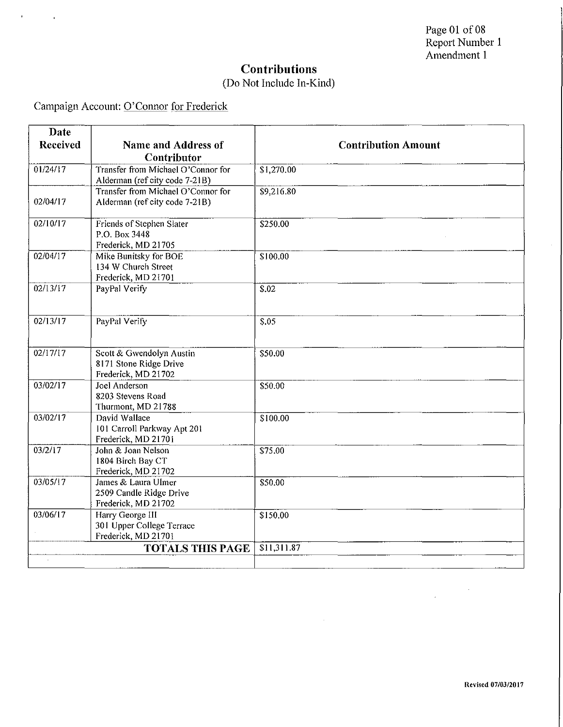#### (Do Not Include In-Kind)

Campaign Account: O'Connor for Frederick

 $\mathbf{r}^{\pm}$ 

 $\sim 10^{11}$  km  $^{-1}$ 

| Date     |                                                                           |                            |
|----------|---------------------------------------------------------------------------|----------------------------|
| Received | Name and Address of                                                       | <b>Contribution Amount</b> |
|          | Contributor                                                               |                            |
| 01/24/17 | Transfer from Michael O'Connor for<br>Alderman (ref city code 7-21B)      | \$1,270.00                 |
| 02/04/17 | Transfer from Michael O'Connor for<br>Alderman (ref city code 7-21B)      | \$9,216.80                 |
| 02/10/17 | Friends of Stephen Slater<br>P.O. Box 3448<br>Frederick, MD 21705         | \$250.00                   |
| 02/04/17 | Mike Bunitsky for BOE<br>134 W Church Street<br>Frederick, MD 21701       | \$100.00                   |
| 02/13/17 | PayPal Verify                                                             | $\overline{$}$ .02         |
| 02/13/17 | PayPal Verify                                                             | $\overline{$}5.05$         |
| 02/17/17 | Scott & Gwendolyn Austin<br>8171 Stone Ridge Drive<br>Frederick, MD 21702 | \$50.00                    |
| 03/02/17 | Joel Anderson<br>8203 Stevens Road<br>Thurmont, MD 21788                  | \$50.00                    |
| 03/02/17 | David Wallace<br>101 Carroll Parkway Apt 201<br>Frederick, MD 21701       | \$100.00                   |
| 03/2/17  | John & Joan Nelson<br>1804 Birch Bay CT<br>Frederick, MD 21702            | \$75.00                    |
| 03/05/17 | James & Laura Ulmer<br>2509 Candle Ridge Drive<br>Frederick, MD 21702     | \$50.00                    |
| 03/06/17 | Harry George III<br>301 Upper College Terrace<br>Frederick, MD 21701      | \$150.00                   |
|          | <b>TOTALS THIS PAGE</b>                                                   | \$11,311.87                |
|          |                                                                           |                            |

 $\hat{\boldsymbol{\theta}}$ 

 $\bar{\mathcal{A}}$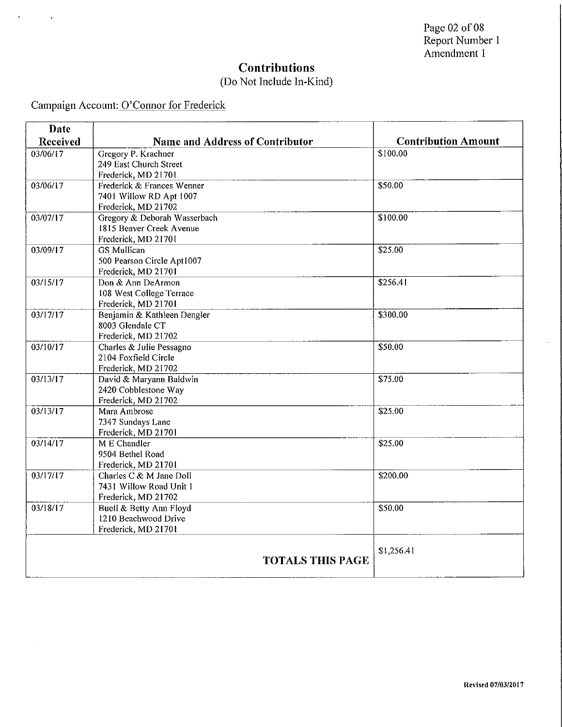## (Do Not Include In-Kind)

Campaign Account: O'Connor for Frederick

 $\mathbf{U} = \mathbf{U} \times \mathbf{U}$  .

| Date            |                                 |                            |
|-----------------|---------------------------------|----------------------------|
| <b>Received</b> | Name and Address of Contributor | <b>Contribution Amount</b> |
| 03/06/17        | Gregory P. Krachner             | \$100.00                   |
|                 | 249 East Church Street          |                            |
|                 | Frederick, MD 21701             |                            |
| 03/06/17        | Frederick & Frances Wenner      | \$50.00                    |
|                 | 7401 Willow RD Apt 1007         |                            |
|                 | Frederick, MD 21702             |                            |
| 03/07/17        | Gregory & Deborah Wasserbach    | \$100.00                   |
|                 | 1815 Beaver Creek Avenue        |                            |
|                 | Frederick, MD 21701             |                            |
| 03/09/17        | <b>GS</b> Mullican              | \$25.00                    |
|                 | 500 Pearson Circle Apt1007      |                            |
|                 | Frederick, MD 21701             |                            |
| 03/15/17        | Don & Ann DeArmon               | \$256.41                   |
|                 | 108 West College Terrace        |                            |
|                 | Frederick, MD 21701             |                            |
| 03/17/17        | Benjamin & Kathleen Dengler     | \$300.00                   |
|                 | 8003 Glendale CT                |                            |
|                 | Frederick, MD 21702             |                            |
| 03/10/17        | Charles & Julie Pessagno        | \$50.00                    |
|                 | 2104 Foxfield Circle            |                            |
|                 | Frederick, MD 21702             |                            |
| 03/13/17        | David & Maryann Baldwin         | \$75.00                    |
|                 | 2420 Cobblestone Way            |                            |
|                 | Frederick, MD 21702             |                            |
| 03/13/17        | Mara Ambrose                    | \$25.00                    |
|                 | 7347 Sundays Lane               |                            |
|                 | Frederick, MD 21701             |                            |
| 03/14/17        | M E Chandler                    | \$25.00                    |
|                 | 9504 Bethel Road                |                            |
|                 | Frederick, MD 21701             |                            |
| 03/17/17        | Charles C & M Jane Doll         | \$200.00                   |
|                 | 7431 Willow Road Unit 1         |                            |
|                 | Frederick, MD 21702             |                            |
| 03/18/17        | Buell & Betty Ann Floyd         | \$50.00                    |
|                 | 1210 Beachwood Drive            |                            |
|                 | Frederick, MD 21701             |                            |
|                 |                                 | \$1,256.41                 |
|                 | <b>TOTALS THIS PAGE</b>         |                            |
|                 |                                 |                            |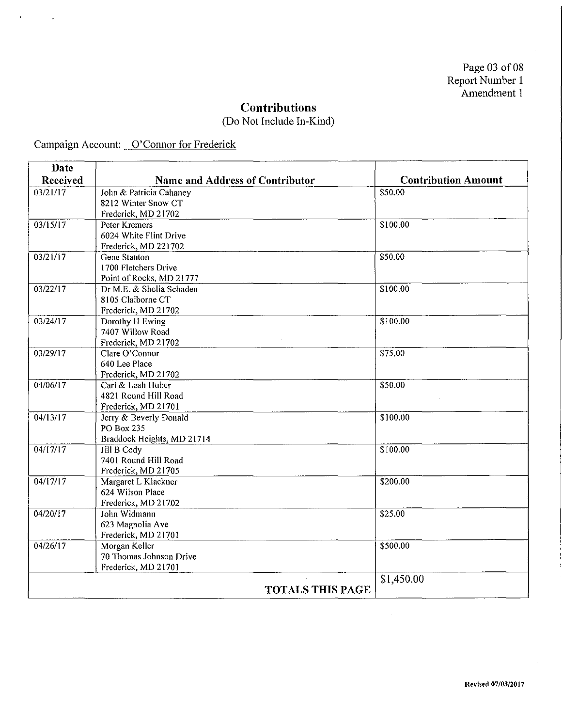(Do Not Include In-Kind)

 $\sim$ 

Campaign Account: 0' Connor for Frederick

 $\mathbf{r}$ 

 $\bar{ }$ 

| Date     |                                        |                            |
|----------|----------------------------------------|----------------------------|
| Received | <b>Name and Address of Contributor</b> | <b>Contribution Amount</b> |
| 03/21/17 | John & Patricia Cahaney                | \$50.00                    |
|          | 8212 Winter Snow CT                    |                            |
|          | Frederick, MD 21702                    |                            |
| 03/15/17 | Peter Kremers                          | \$100.00                   |
|          | 6024 White Flint Drive                 |                            |
|          | Frederick, MD 221702                   |                            |
| 03/21/17 | <b>Gene Stanton</b>                    | \$50.00                    |
|          | 1700 Fletchers Drive                   |                            |
|          | Point of Rocks, MD 21777               |                            |
| 03/22/17 | Dr M.E. & Shelia Schaden               | \$100.00                   |
|          | 8105 Claiborne CT                      |                            |
|          | Frederick, MD 21702                    |                            |
| 03/24/17 | Dorothy H Ewing                        | \$100.00                   |
|          | 7407 Willow Road                       |                            |
|          | Frederick, MD 21702                    |                            |
| 03/29/17 | Clare O'Connor                         | \$75.00                    |
|          | 640 Lee Place                          |                            |
|          | Frederick, MD 21702                    |                            |
| 04/06/17 | Carl & Leah Huber                      | \$50.00                    |
|          | 4821 Round Hill Road                   |                            |
|          | Frederick, MD 21701                    |                            |
| 04/13/17 | Jerry & Beverly Donald                 | \$100.00                   |
|          | <b>PO Box 235</b>                      |                            |
| 04/17/17 | Braddock Heights, MD 21714             | \$100.00                   |
|          | Jill B Cody<br>7401 Round Hill Road    |                            |
|          | Frederick, MD 21705                    |                            |
| 04/17/17 | Margaret L Klackner                    | \$200.00                   |
|          | 624 Wilson Place                       |                            |
|          | Frederick, MD 21702                    |                            |
| 04/20/17 | John Widmann                           | \$25.00                    |
|          | 623 Magnolia Ave                       |                            |
|          | Frederick, MD 21701                    |                            |
| 04/26/17 | Morgan Keller                          | \$500.00                   |
|          | 70 Thomas Johnson Drive                |                            |
|          | Frederick, MD 21701                    |                            |
|          |                                        | \$1,450.00                 |
|          | <b>TOTALS THIS PAGE</b>                |                            |
|          |                                        |                            |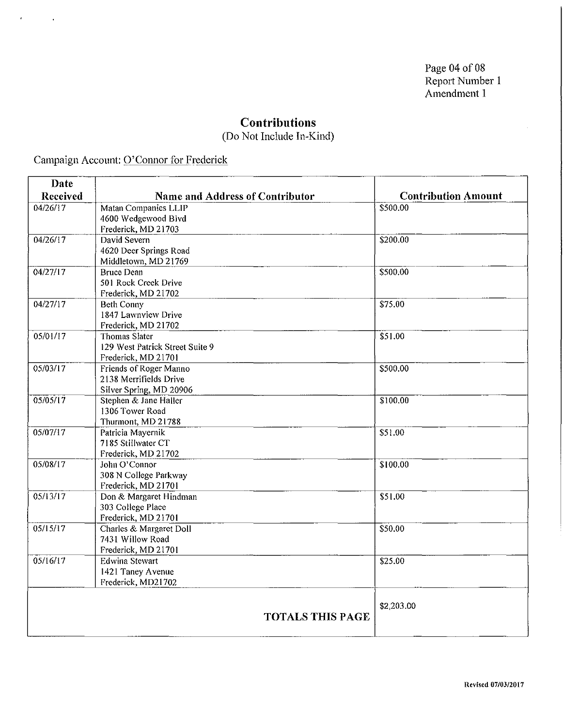Page 04 of 08 Report Number 1 Amendment 1

#### **Contributions**

(Do Not Include In-Kind)

Campaign Account: Q'Connor for Frederick

 $\epsilon$ 

 $\sim$   $\sim$ 

| Date     |                                                |                            |
|----------|------------------------------------------------|----------------------------|
| Received | <b>Name and Address of Contributor</b>         | <b>Contribution Amount</b> |
| 04/26/17 | Matan Companies LLIP                           | \$500.00                   |
|          | 4600 Wedgewood Blvd                            |                            |
|          | Frederick, MD 21703                            |                            |
| 04/26/17 | David Severn                                   | \$200.00                   |
|          | 4620 Deer Springs Road                         |                            |
|          | Middletown, MD 21769                           |                            |
| 04/27/17 | <b>Bruce Dean</b>                              | \$500.00                   |
|          | 501 Rock Creek Drive                           |                            |
| 04/27/17 | Frederick, MD 21702                            |                            |
|          | <b>Beth Conny</b><br>1847 Lawnview Drive       | \$75.00                    |
|          | Frederick, MD 21702                            |                            |
| 05/01/17 | <b>Thomas Slater</b>                           | \$51.00                    |
|          | 129 West Patrick Street Suite 9                |                            |
|          | Frederick, MD 21701                            |                            |
| 05/03/17 | Friends of Roger Manno                         | \$500.00                   |
|          | 2138 Merrifields Drive                         |                            |
|          | Silver Spring, MD 20906                        |                            |
| 05/05/17 | Stephen & Jane Haller                          | \$100.00                   |
|          | 1306 Tower Road                                |                            |
|          | Thurmont, MD 21788                             |                            |
| 05/07/17 | Patricia Mayernik                              | \$51.00                    |
|          | 7185 Stillwater CT                             |                            |
|          | Frederick, MD 21702                            |                            |
| 05/08/17 | John O'Connor                                  | \$100.00                   |
|          | 308 N College Parkway                          |                            |
|          | Frederick, MD 21701                            |                            |
| 05/13/17 | Don & Margaret Hindman                         | \$51.00                    |
|          | 303 College Place                              |                            |
| 05/15/17 | Frederick, MD 21701<br>Charles & Margaret Doll | \$50.00                    |
|          | 7431 Willow Road                               |                            |
|          | Frederick, MD 21701                            |                            |
| 05/16/17 | <b>Edwina Stewart</b>                          | \$25.00                    |
|          | 1421 Taney Avenue                              |                            |
|          | Frederick, MD21702                             |                            |
|          |                                                |                            |
|          |                                                | \$2,203.00                 |
|          | <b>TOTALS THIS PAGE</b>                        |                            |
|          |                                                |                            |
|          |                                                |                            |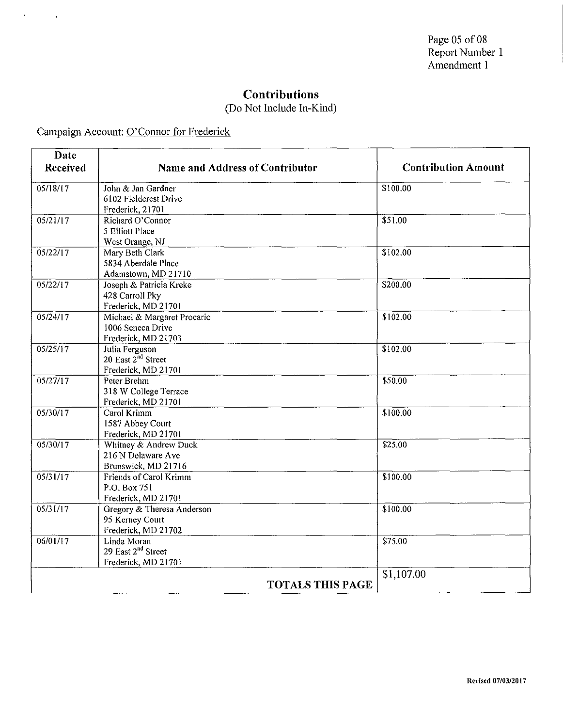(Do Not Include In-Kind)

Campaign Account: O'Connor for Frederick

 $\mathcal{A}^{\text{max}}$  and  $\mathcal{A}$ 

| Date     |                                               | <b>Contribution Amount</b> |
|----------|-----------------------------------------------|----------------------------|
| Received | <b>Name and Address of Contributor</b>        |                            |
| 05/18/17 | John & Jan Gardner                            | \$100.00                   |
|          | 6102 Fieldcrest Drive<br>Frederick, 21701     |                            |
| 05/21/17 | Richard O'Connor                              | \$51.00                    |
|          | 5 Elliott Place                               |                            |
|          | West Orange, NJ                               |                            |
| 05/22/17 | Mary Beth Clark                               | \$102.00                   |
|          | 5834 Aberdale Place                           |                            |
|          | Adamstown, MD 21710                           |                            |
| 05/22/17 | Joseph & Patricia Kreke                       | \$200.00                   |
|          | 428 Carroll Pky                               |                            |
|          | Frederick, MD 21701                           |                            |
| 05/24/17 | Michael & Margaret Procario                   | \$102.00                   |
|          | 1006 Seneca Drive                             |                            |
|          | Frederick, MD 21703                           |                            |
| 05/25/17 | Julia Ferguson                                | \$102.00                   |
|          | 20 East 2 <sup>nd</sup> Street                |                            |
|          | Frederick, MD 21701                           |                            |
| 05/27/17 | Peter Brehm                                   | \$50.00                    |
|          | 318 W College Terrace                         |                            |
|          | Frederick, MD 21701                           |                            |
| 05/30/17 | Carol Krimm                                   | \$100,00                   |
|          | 1587 Abbey Court                              |                            |
|          | Frederick, MD 21701                           |                            |
| 05/30/17 | Whitney & Andrew Duck                         | \$25.00                    |
|          | 216 N Delaware Ave                            |                            |
|          | Brunswick, MD 21716                           |                            |
| 05/31/17 | Friends of Carol Krimm                        | \$100.00                   |
|          | P.O. Box 751                                  |                            |
|          | Frederick, MD 21701                           |                            |
| 05/31/17 | Gregory & Theresa Anderson                    | \$100.00                   |
|          | 95 Kerney Court                               |                            |
|          | Frederick, MD 21702                           |                            |
| 06/01/17 | Linda Moran<br>29 East 2 <sup>nd</sup> Street | \$75.00                    |
|          |                                               |                            |
|          | Frederick, MD 21701                           |                            |
|          | <b>TOTALS THIS PAGE</b>                       | \$1,107.00                 |

 $\sim$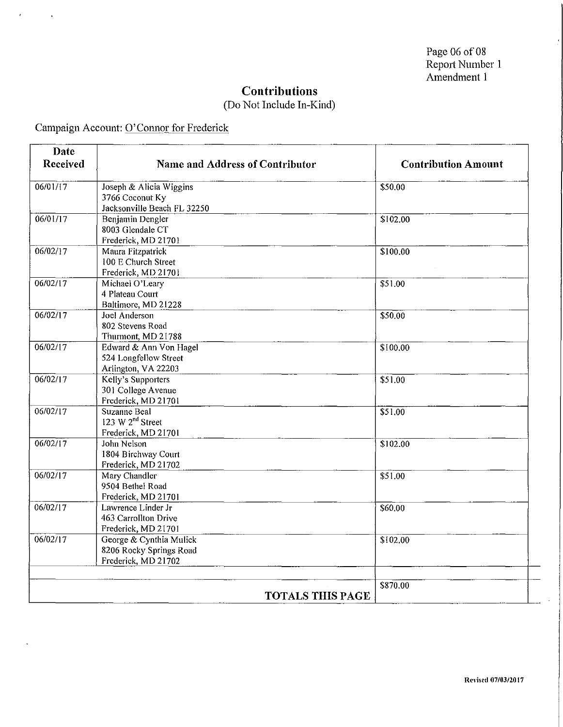$\bar{t}$ 

### **Contributions**

### (Do Not Include In-Kind)

Campaign Account: O'Connor for Frederick

 $\overline{1}$ 

| Date     |                                 |                            |
|----------|---------------------------------|----------------------------|
| Received | Name and Address of Contributor | <b>Contribution Amount</b> |
| 06/01/17 | Joseph & Alicia Wiggins         | \$50.00                    |
|          | 3766 Coconut Ky                 |                            |
|          | Jacksonville Beach FL 32250     |                            |
| 06/01/17 | Benjamin Dengler                | \$102.00                   |
|          | 8003 Glendale CT                |                            |
|          | Frederick, MD 21701             |                            |
| 06/02/17 | Maura Fitzpatrick               | \$100.00                   |
|          | 100 E Church Street             |                            |
|          | Frederick, MD 21701             |                            |
| 06/02/17 | Michael O'Leary                 | \$51.00                    |
|          | 4 Plateau Court                 |                            |
|          | Baltimore, MD 21228             |                            |
| 06/02/17 | Joel Anderson                   | \$50.00                    |
|          | 802 Stevens Road                |                            |
|          | Thurmont, MD 21788              |                            |
| 06/02/17 | Edward & Ann Von Hagel          | \$100.00                   |
|          | 524 Longfellow Street           |                            |
|          | Arlington, VA 22203             |                            |
| 06/02/17 | Kelly's Supporters              | \$51.00                    |
|          | 301 College Avenue              |                            |
|          | Frederick, MD 21701             |                            |
| 06/02/17 | Suzanne Beal                    | \$51.00                    |
|          | 123 W 2 <sup>nd</sup> Street    |                            |
|          | Frederick, MD 21701             |                            |
| 06/02/17 | John Nelson                     | \$102.00                   |
|          | 1804 Birchway Court             |                            |
|          | Frederick, MD 21702             |                            |
| 06/02/17 | Mary Chandler                   | \$51.00                    |
|          | 9504 Bethel Road                |                            |
|          | Frederick, MD 21701             |                            |
| 06/02/17 | Lawrence Linder Jr              | \$60.00                    |
|          | 463 Carrollton Drive            |                            |
| 06/02/17 | Frederick, MD 21701             |                            |
|          | George & Cynthia Mulick         | \$102.00                   |
|          | 8206 Rocky Springs Road         |                            |
|          | Frederick, MD 21702             |                            |
|          |                                 |                            |
|          |                                 | \$870.00                   |
|          | <b>TOTALS THIS PAGE</b>         |                            |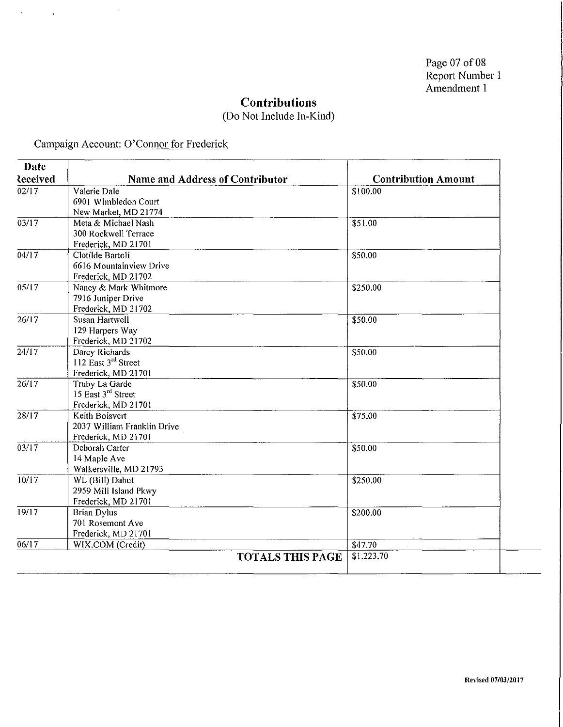### (Do Not Include In-Kind)

Campaign Account: O'Connor for Frederick

 $\tilde{\mathcal{L}}$ 

 $\bar{f}$ 

 $\bar{\mathbf{r}}$ 

| Date              |                                 |                            |
|-------------------|---------------------------------|----------------------------|
| <b>Received</b>   | Name and Address of Contributor | <b>Contribution Amount</b> |
| 02/17             | Valerie Dale                    | \$100.00                   |
|                   | 6901 Wimbledon Court            |                            |
|                   | New Market, MD 21774            |                            |
| 03/17             | Meta & Michael Nash             | \$51.00                    |
|                   | 300 Rockwell Terrace            |                            |
|                   | Frederick, MD 21701             |                            |
| 04/17             | Clotilde Bartoli                | \$50.00                    |
|                   | 6616 Mountainview Drive         |                            |
|                   | Frederick, MD 21702             |                            |
| 05/17             | Nancy & Mark Whitmore           | \$250.00                   |
|                   | 7916 Juniper Drive              |                            |
|                   | Frederick, MD 21702             |                            |
| 26/17             | Susan Hartwell                  | \$50.00                    |
|                   | 129 Harpers Way                 |                            |
|                   | Frederick, MD 21702             |                            |
| $\frac{1}{24/17}$ | Darcy Richards                  | \$50.00                    |
|                   | 112 East 3rd Street             |                            |
|                   | Frederick, MD 21701             |                            |
| 26/17             | Truby La Garde                  | \$50.00                    |
|                   | 15 East 3rd Street              |                            |
|                   | Frederick, MD 21701             |                            |
| $\frac{28}{17}$   | Keith Boisvert                  | \$75.00                    |
|                   | 2037 William Franklin Drive     |                            |
|                   | Frederick, MD 21701             |                            |
| 03/17             | Deborah Carter                  | \$50.00                    |
|                   | 14 Maple Ave                    |                            |
|                   | Walkersville, MD 21793          |                            |
| 10/17             | WL (Bill) Dahut                 | \$250.00                   |
|                   | 2959 Mill Island Pkwy           |                            |
|                   | Frederick, MD 21701             |                            |
| 19/17             | <b>Brian Dylus</b>              | \$200.00                   |
|                   | 701 Rosemont Ave                |                            |
|                   | Frederick, MD 21701             |                            |
| 06/17             | WIX.COM (Credit)                | \$47.70                    |
|                   | <b>TOTALS THIS PAGE</b>         | \$1.223.70                 |
|                   |                                 |                            |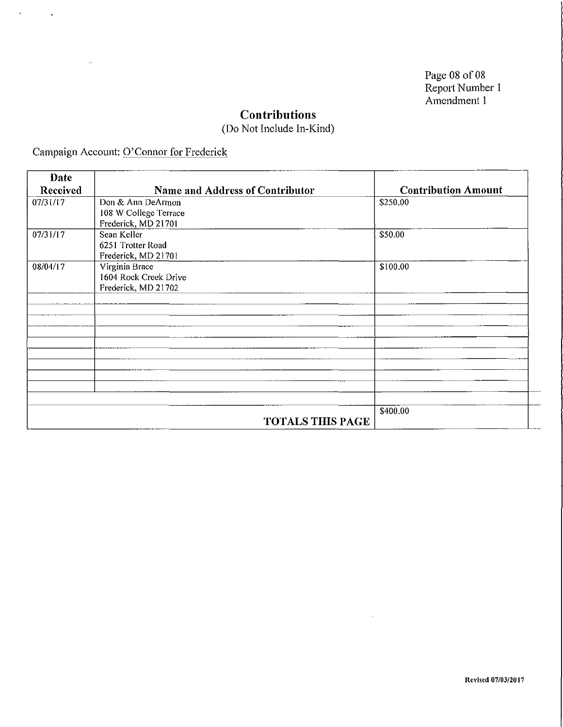Page 08 of 08 Report Number 1 Amendment 1

### **Contributions**

(Do Not Include In-Kind)

Campaign Account: O'Connor for Frederick

 $\mathbf{r}$ 

 $\mathcal{A}^{\text{max}}_{\text{max}}$ 

| Date     |                                 |                            |
|----------|---------------------------------|----------------------------|
| Received | Name and Address of Contributor | <b>Contribution Amount</b> |
| 07/31/17 | Don & Ann DeArmon               | \$250.00                   |
|          | 108 W College Terrace           |                            |
|          | Frederick, MD 21701             |                            |
| 07/31/17 | Sean Keller                     | \$50.00                    |
|          | 6251 Trotter Road               |                            |
|          | Frederick, MD 21701             |                            |
| 08/04/17 | Virginia Brace                  | \$100.00                   |
|          | 1604 Rock Creek Drive           |                            |
|          | Frederick, MD 21702             |                            |
|          |                                 |                            |
|          |                                 |                            |
|          |                                 |                            |
|          |                                 |                            |
|          |                                 |                            |
|          |                                 |                            |
|          |                                 |                            |
|          |                                 |                            |
|          |                                 |                            |
|          |                                 |                            |
|          |                                 | \$400.00                   |
|          | <b>TOTALS THIS PAGE</b>         |                            |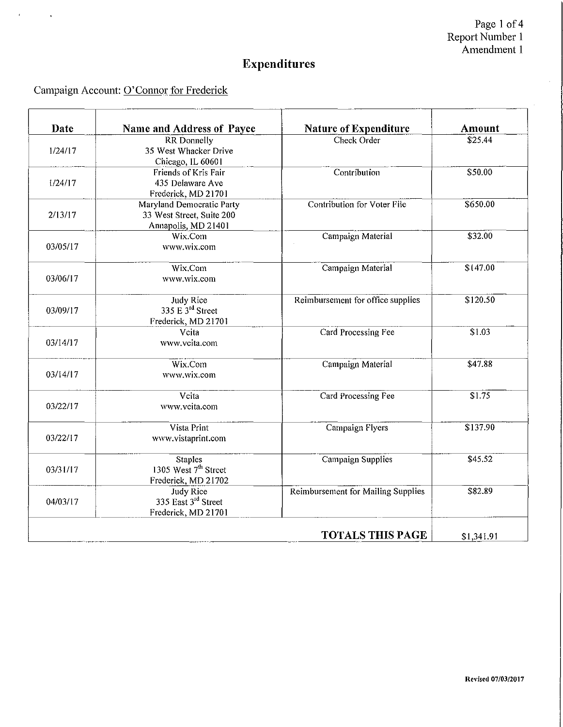Page 1 of 4 Report Number 1 Amendment 1

 $\hat{\mathcal{A}}$ 

# **Expenditures**

## Campaign Account: O'Connor for Frederick

 $\mathcal{A}^{\text{max}}_{\text{max}}$ 

| Date     | Name and Address of Payee        | <b>Nature of Expenditure</b>       | <b>Amount</b>      |
|----------|----------------------------------|------------------------------------|--------------------|
|          | <b>RR</b> Donnelly               | Check Order                        | \$25.44            |
| 1/24/17  | 35 West Whacker Drive            |                                    |                    |
|          | Chicago, IL 60601                |                                    |                    |
|          | Friends of Kris Fair             | Contribution                       | \$50.00            |
| 1/24/17  | 435 Delaware Ave                 |                                    |                    |
|          | Frederick, MD 21701              |                                    |                    |
|          | Maryland Democratic Party        | Contribution for Voter File        | \$650.00           |
| 2/13/17  | 33 West Street, Suite 200        |                                    |                    |
|          | Annapolis, MD 21401              |                                    |                    |
|          | Wix.Com                          | Campaign Material                  | \$32.00            |
| 03/05/17 | www.wix.com                      |                                    |                    |
|          |                                  |                                    |                    |
|          | Wix.Com                          | Campaign Material                  | \$147.00           |
| 03/06/17 | www.wix.com                      |                                    |                    |
|          |                                  |                                    |                    |
|          | <b>Judy Rice</b>                 | Reimbursement for office supplies  | \$120.50           |
| 03/09/17 | 335 E 3 <sup>rd</sup> Street     |                                    |                    |
|          | Frederick, MD 21701              |                                    |                    |
|          | Vcita                            | Card Processing Fee                | \$1.03             |
| 03/14/17 | www.vcita.com                    |                                    |                    |
|          |                                  |                                    |                    |
|          | Wix.Com                          | Campaign Material                  | \$47.88            |
| 03/14/17 | www.wix.com                      |                                    |                    |
|          | Vcita                            | Card Processing Fee                | $\overline{$}1.75$ |
| 03/22/17 | www.vcita.com                    |                                    |                    |
|          |                                  |                                    |                    |
|          | Vista Print                      | Campaign Flyers                    | \$137.90           |
| 03/22/17 | www.vistaprint.com               |                                    |                    |
|          | <b>Staples</b>                   | Campaign Supplies                  | \$45.52            |
| 03/31/17 | 1305 West 7 <sup>th</sup> Street |                                    |                    |
|          | Frederick, MD 21702              |                                    |                    |
|          | <b>Judy Rice</b>                 | Reimbursement for Mailing Supplies | \$82.89            |
| 04/03/17 | 335 East 3 <sup>rd</sup> Street  |                                    |                    |
|          | Frederick, MD 21701              |                                    |                    |
|          |                                  |                                    |                    |
|          |                                  | <b>TOTALS THIS PAGE</b>            | \$1,341.91         |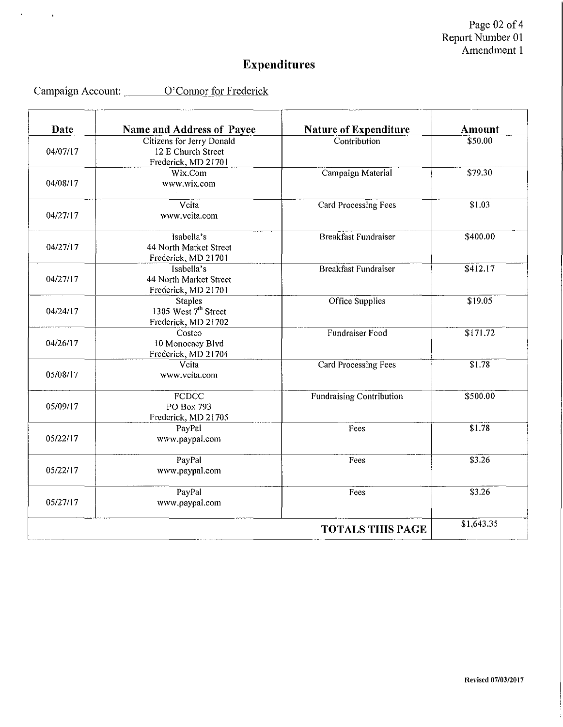Page  $02$  of  $4$ Report Number 01 Amendment 1

# **Expenditures**

| Campaign Account: | O'Connor for Frederick |  |
|-------------------|------------------------|--|
|                   |                        |  |

 $\cdots$ 

<u> Liberal Service Communication de la propriété de la propriété de la propriété de la propriété de la propriété d</u>

 $\mathbf{z} = \mathbf{z} \times \mathbf{z}$ 

 $\bar{\mathbf{r}}$ 

| <b>Date</b> | Name and Address of Payee                                                 | <b>Nature of Expenditure</b>    | Amount             |
|-------------|---------------------------------------------------------------------------|---------------------------------|--------------------|
| 04/07/17    | Citizens for Jerry Donald<br>12 E Church Street<br>Frederick, MD 21701    | Contribution                    | \$50.00            |
| 04/08/17    | Wix.Com<br>www.wix.com                                                    | Campaign Material               | \$79.30            |
| 04/27/17    | Vcita<br>www.vcita.com                                                    | Card Processing Fees            | \$1.03             |
| 04/27/17    | Isabella's<br>44 North Market Street<br>Frederick, MD 21701               | <b>Breakfast Fundraiser</b>     | \$400.00           |
| 04/27/17    | Isabella's<br>44 North Market Street<br>Frederick, MD 21701               | <b>Breakfast Fundraiser</b>     | \$412.17           |
| 04/24/17    | <b>Staples</b><br>1305 West 7 <sup>th</sup> Street<br>Frederick, MD 21702 | Office Supplies                 | \$19.05            |
| 04/26/17    | Costco<br>10 Monocacy Blvd<br>Frederick, MD 21704                         | Fundraiser Food                 | \$171.72           |
| 05/08/17    | Vcita<br>www.vcita.com                                                    | <b>Card Processing Fees</b>     | \$1.78             |
| 05/09/17    | <b>FCDCC</b><br>PO Box 793<br>Frederick, MD 21705                         | <b>Fundraising Contribution</b> | \$500.00           |
| 05/22/17    | PayPal<br>www.paypal.com                                                  | Fees                            | S1.78              |
| 05/22/17    | PayPal<br>www.paypal.com                                                  | Fees                            | $\overline{$}3.26$ |
| 05/27/17    | PayPal<br>www.paypal.com                                                  | Fees                            | \$3.26             |
|             |                                                                           | <b>TOTALS THIS PAGE</b>         | \$1,643.35         |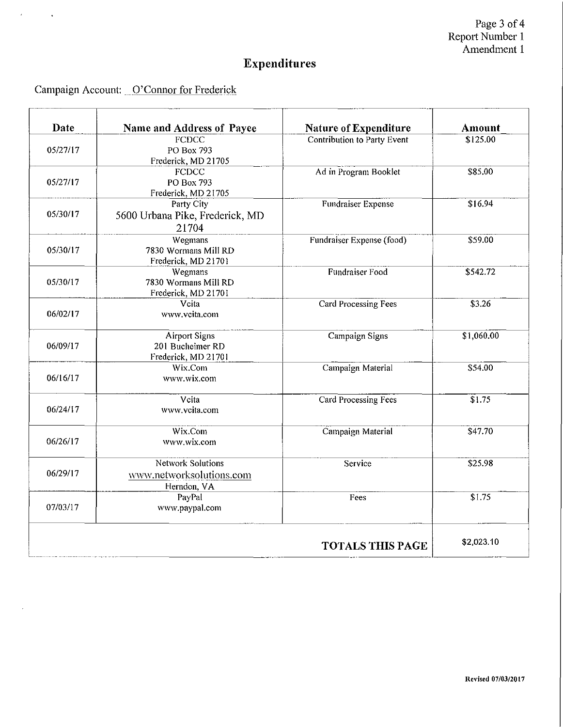Page 3 of 4 Report Number 1 Amendment 1

# **Expenditures**

## Campaign Account: 0' Connor for Frederick

 $\mathcal{A}^{\text{max}}_{\text{max}}$ 

 $\bar{\mathcal{A}}$ 

| Date                    | Name and Address of Payee                                           | Nature of Expenditure              | <b>Amount</b> |
|-------------------------|---------------------------------------------------------------------|------------------------------------|---------------|
| 05/27/17                | <b>FCDCC</b><br>PO Box 793<br>Frederick, MD 21705                   | <b>Contribution to Party Event</b> | \$125.00      |
| 05/27/17                | <b>FCDCC</b><br>PO Box 793<br>Frederick, MD 21705                   | Ad in Program Booklet              | \$85.00       |
| 05/30/17                | Party City<br>5600 Urbana Pike, Frederick, MD<br>21704              | Fundraiser Expense                 | \$16.94       |
| 05/30/17                | Wegmans<br>7830 Wormans Mill RD<br>Frederick, MD 21701              | Fundraiser Expense (food)          | \$59.00       |
| 05/30/17                | Wegmans<br>7830 Wormans Mill RD<br>Frederick, MD 21701              | Fundraiser Food                    | \$542.72      |
| 06/02/17                | Vcita<br>www.vcita.com                                              | Card Processing Fees               | \$3.26        |
| 06/09/17                | <b>Airport Signs</b><br>201 Bucheimer RD<br>Frederick, MD 21701     | Campaign Signs                     | \$1,060.00    |
| 06/16/17                | Wix.Com<br>www.wix.com                                              | Campaign Material                  | \$54.00       |
| 06/24/17                | Vcita<br>www.ycita.com                                              | <b>Card Processing Fees</b>        | \$1.75        |
| 06/26/17                | Wix.Com<br>www.wix.com                                              | Campaign Material                  | \$47.70       |
| 06/29/17                | <b>Network Solutions</b><br>www.networksolutions.com<br>Herndon, VA | Service                            | \$25.98       |
| 07/03/17                | PayPal<br>www.paypal.com                                            | Fees                               | \$1.75        |
| <b>TOTALS THIS PAGE</b> |                                                                     |                                    |               |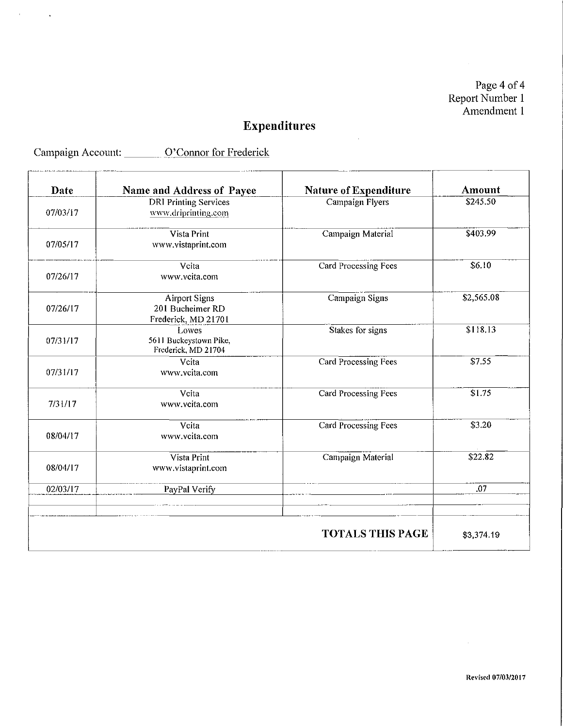Page 4 of 4 Report Number 1 Amendment 1

 $\mathcal{L}_{\rm{max}}$ 

# **Expenditures**

 $\sim 10^7$ 

Campaign Account: <u>O'Connor for Frederick</u>

 $\mathcal{A}^{\text{max}}_{\text{max}}$ 

| Date     | Name and Address of Payee                                       | <b>Nature of Expenditure</b> | Amount     |
|----------|-----------------------------------------------------------------|------------------------------|------------|
| 07/03/17 | <b>DRI Printing Services</b><br>www.driprinting.com             | <b>Campaign Flyers</b>       | \$245.50   |
| 07/05/17 | Vista Print<br>www.vistaprint.com                               | Campaign Material            | \$403.99   |
| 07/26/17 | Vcita<br>www.veita.com                                          | Card Processing Fees         | \$6.10     |
| 07/26/17 | <b>Airport Signs</b><br>201 Bucheimer RD<br>Frederick, MD 21701 | Campaign Signs               | \$2,565.08 |
| 07/31/17 | Lowes<br>5611 Buckeystown Pike,<br>Frederick, MD 21704          | Stakes for signs             | \$118.13   |
| 07/31/17 | Vcita<br>www.vcita.com                                          | Card Processing Fees         | \$7.55     |
| 7/31/17  | Vcita<br>www.vcita.com                                          | Card Processing Fees         | \$1.75     |
| 08/04/17 | Vcita<br>www.vcita.com                                          | <b>Card Processing Fees</b>  | \$3.20     |
| 08/04/17 | Vista Print<br>www.vistaprint.com                               | Campaign Material            | \$22.82    |
| 02/03/17 | PayPal Verify                                                   |                              | .07        |
|          |                                                                 | <b>TOTALS THIS PAGE</b>      | \$3,374.19 |